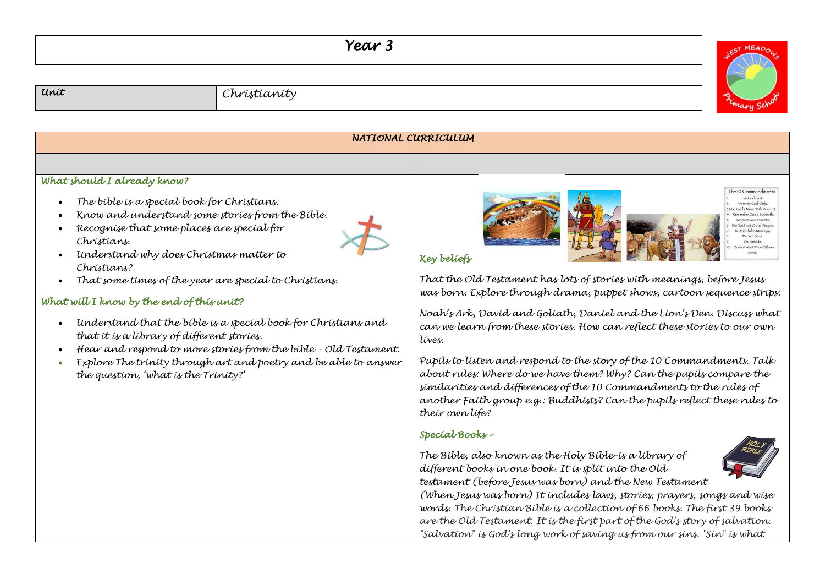# *Year 3*



# *Unit Christianity*

#### *NATIONAL CURRICULUM What should I already know?*  The IO Commandments **BacalFirst** • *The bible is a special book for Christians.* Worship God Only Cod's Name With Reser • *Know and understand some stories from the Bible.*  nember God's Sabbath **Repair of Manual Districts** • *Recognise that some places are special for*  Not Hurt Other Penn Republication Do Not Ster *Christians.*  Do Not Lie Not Want What Othe

*Key beliefs* 

*That the Old Testament has lots of stories with meanings, before Jesus was born. Explore through drama, puppet shows, cartoon sequence strips:*

*Noah's Ark, David and Goliath, Daniel and the Lion's Den. Discuss what can we learn from these stories. How can reflect these stories to our own lives.* 

*Pupils to listen and respond to the story of the 10 Commandments. Talk about rules: Where do we have them? Why? Can the pupils compare the similarities and differences of the 10 Commandments to the rules of another Faith group e.g.: Buddhists? Can the pupils reflect these rules to their own life?*

## *Special Books –*

*The Bible, also known as the Holy Bible–is a library of different books in one book. It is split into the Old testament (before Jesus was born) and the New Testament* 



*(When Jesus was born) It includes laws, stories, prayers, songs and wise words. The Christian Bible is a collection of 66 books. The first 39 books are the Old Testament. It is the first part of the God's story of salvation. "Salvation" is God's long work of saving us from our sins. "Sin" is what* 

- *Understand why does Christmas matter to Christians?*
- *That some times of the year are special to Christians.*

## *What will I know by the end of this unit?*

- *Understand that the bible is a special book for Christians and that it is a library of different stories.*
- *Hear and respond to more stories from the bible - Old Testament.*
- *Explore The trinity through art and poetry and be able to answer the question, 'what is the Trinity?'*